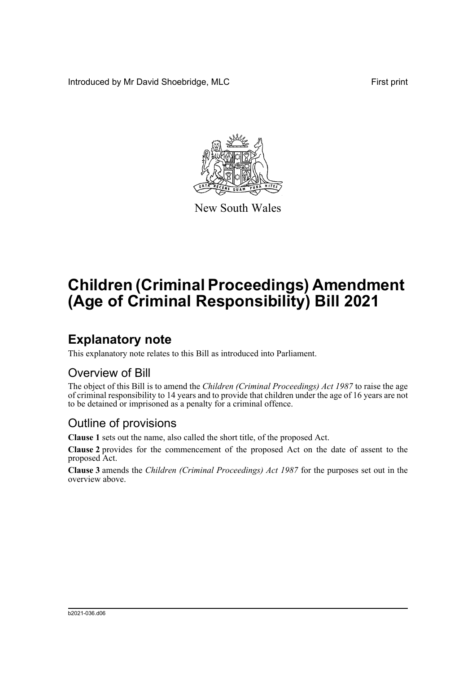Introduced by Mr David Shoebridge, MLC First print



New South Wales

# **Children (Criminal Proceedings) Amendment (Age of Criminal Responsibility) Bill 2021**

## **Explanatory note**

This explanatory note relates to this Bill as introduced into Parliament.

#### Overview of Bill

The object of this Bill is to amend the *Children (Criminal Proceedings) Act 1987* to raise the age of criminal responsibility to 14 years and to provide that children under the age of 16 years are not to be detained or imprisoned as a penalty for a criminal offence.

#### Outline of provisions

**Clause 1** sets out the name, also called the short title, of the proposed Act.

**Clause 2** provides for the commencement of the proposed Act on the date of assent to the proposed Act.

**Clause 3** amends the *Children (Criminal Proceedings) Act 1987* for the purposes set out in the overview above.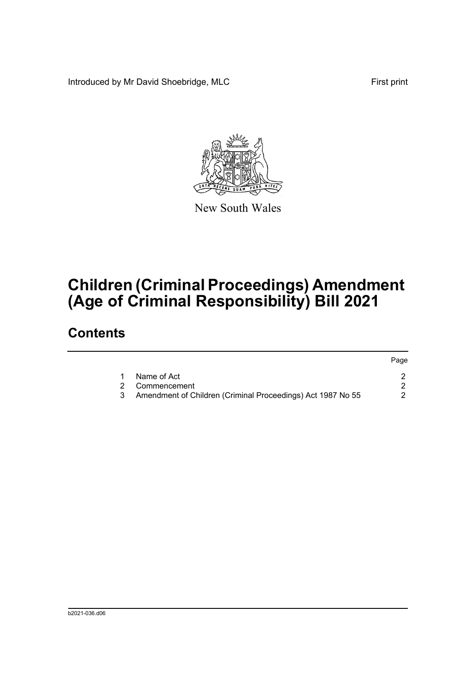Introduced by Mr David Shoebridge, MLC First print



New South Wales

# **Children (Criminal Proceedings) Amendment (Age of Criminal Responsibility) Bill 2021**

### **Contents**

|   |                                                             | Page |
|---|-------------------------------------------------------------|------|
|   | Name of Act                                                 |      |
|   | 2 Commencement                                              |      |
| 3 | Amendment of Children (Criminal Proceedings) Act 1987 No 55 |      |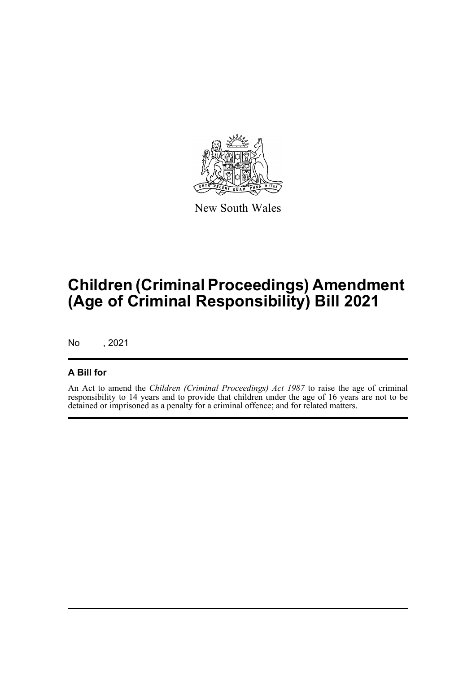

New South Wales

## **Children (Criminal Proceedings) Amendment (Age of Criminal Responsibility) Bill 2021**

No , 2021

#### **A Bill for**

An Act to amend the *Children (Criminal Proceedings) Act 1987* to raise the age of criminal responsibility to 14 years and to provide that children under the age of 16 years are not to be detained or imprisoned as a penalty for a criminal offence; and for related matters.